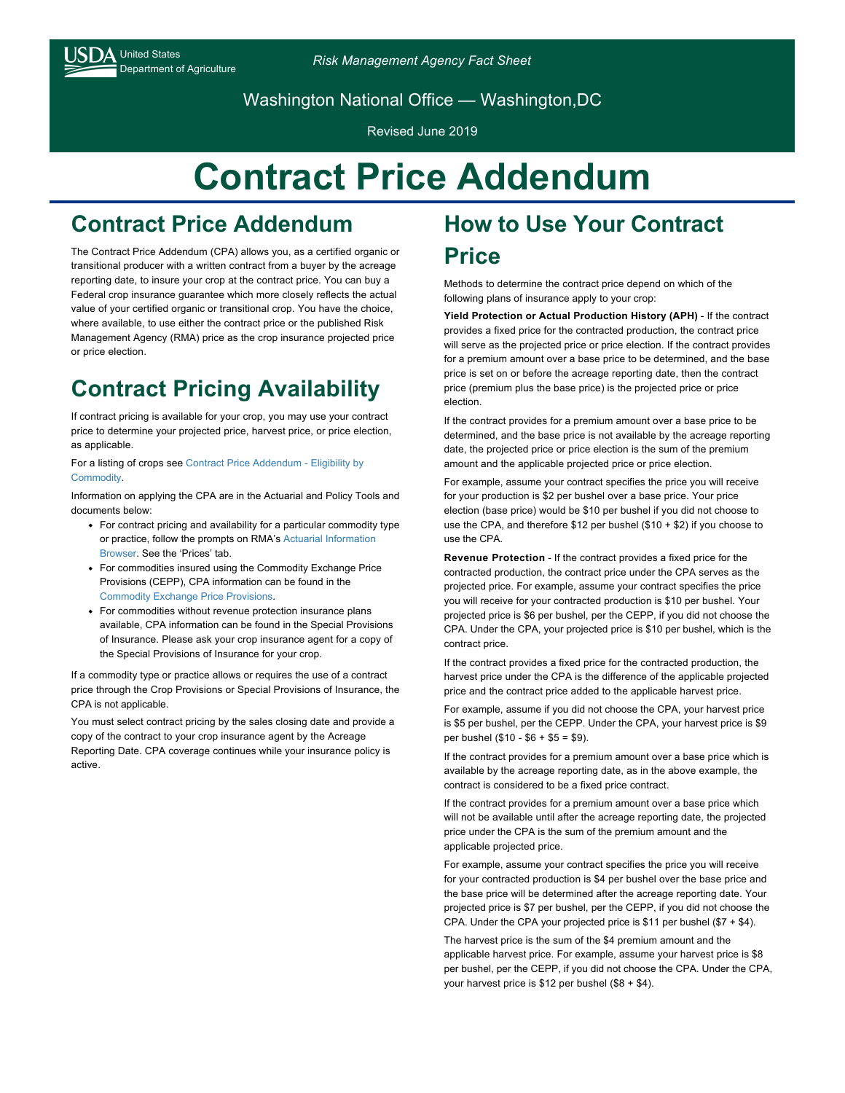Department of Agriculture *Risk Management Agency Fact Sheet*

Washington National Office — Washington,DC

Revised June 2019

# **Contract Price Addendum**

### **Contract Price Addendum**

The Contract Price Addendum (CPA) allows you, as a certified organic or transitional producer with a written contract from a buyer by the acreage reporting date, to insure your crop at the contract price. You can buy a Federal crop insurance guarantee which more closely reflects the actual value of your certified organic or transitional crop. You have the choice, where available, to use either the contract price or the published Risk Management Agency (RMA) price as the crop insurance projected price or price election.

## **Contract Pricing Availability**

If contract pricing is available for your crop, you may use your contract price to determine your projected price, harvest price, or price election, as applicable.

[For a listing of crops see Contract Price Addendum - Eligibility by](https://www.rma.usda.gov/en/Topics/Organic-Crops/Contract-Price-Addendum-Eligibility-by-Commodity) Commodity.

Information on applying the CPA are in the Actuarial and Policy Tools and documents below:

- For contract pricing and availability for a particular commodity type [or practice, follow the prompts on RMA's Actuarial Information](https://webapp.rma.usda.gov/apps/actuarialinformationbrowser/) Browser. See the 'Prices' tab.
- For commodities insured using the Commodity Exchange Price Provisions (CEPP), CPA information can be found in the [Commodity Exchange Price Provisions.](https://www.rma.usda.gov/en/Policy-and-Procedure/Insurance-Plans/Commodity-Exchange-Price-Provisions-CEPP)
- For commodities without revenue protection insurance plans available, CPA information can be found in the Special Provisions of Insurance. Please ask your crop insurance agent for a copy of the Special Provisions of Insurance for your crop.

If a commodity type or practice allows or requires the use of a contract price through the Crop Provisions or Special Provisions of Insurance, the CPA is not applicable.

You must select contract pricing by the sales closing date and provide a copy of the contract to your crop insurance agent by the Acreage Reporting Date. CPA coverage continues while your insurance policy is active.

#### **How to Use Your Contract Price**

Methods to determine the contract price depend on which of the following plans of insurance apply to your crop:

**Yield Protection or Actual Production History (APH)** - If the contract provides a fixed price for the contracted production, the contract price will serve as the projected price or price election. If the contract provides for a premium amount over a base price to be determined, and the base price is set on or before the acreage reporting date, then the contract price (premium plus the base price) is the projected price or price election.

If the contract provides for a premium amount over a base price to be determined, and the base price is not available by the acreage reporting date, the projected price or price election is the sum of the premium amount and the applicable projected price or price election.

For example, assume your contract specifies the price you will receive for your production is \$2 per bushel over a base price. Your price election (base price) would be \$10 per bushel if you did not choose to use the CPA, and therefore \$12 per bushel (\$10 + \$2) if you choose to use the CPA.

**Revenue Protection** - If the contract provides a fixed price for the contracted production, the contract price under the CPA serves as the projected price. For example, assume your contract specifies the price you will receive for your contracted production is \$10 per bushel. Your projected price is \$6 per bushel, per the CEPP, if you did not choose the CPA. Under the CPA, your projected price is \$10 per bushel, which is the contract price.

If the contract provides a fixed price for the contracted production, the harvest price under the CPA is the difference of the applicable projected price and the contract price added to the applicable harvest price.

For example, assume if you did not choose the CPA, your harvest price is \$5 per bushel, per the CEPP. Under the CPA, your harvest price is \$9 per bushel (\$10 - \$6 + \$5 = \$9).

If the contract provides for a premium amount over a base price which is available by the acreage reporting date, as in the above example, the contract is considered to be a fixed price contract.

If the contract provides for a premium amount over a base price which will not be available until after the acreage reporting date, the projected price under the CPA is the sum of the premium amount and the applicable projected price.

For example, assume your contract specifies the price you will receive for your contracted production is \$4 per bushel over the base price and the base price will be determined after the acreage reporting date. Your projected price is \$7 per bushel, per the CEPP, if you did not choose the CPA. Under the CPA your projected price is \$11 per bushel  $(\$7 + \$4)$ .

The harvest price is the sum of the \$4 premium amount and the applicable harvest price. For example, assume your harvest price is \$8 per bushel, per the CEPP, if you did not choose the CPA. Under the CPA, your harvest price is \$12 per bushel (\$8 + \$4).